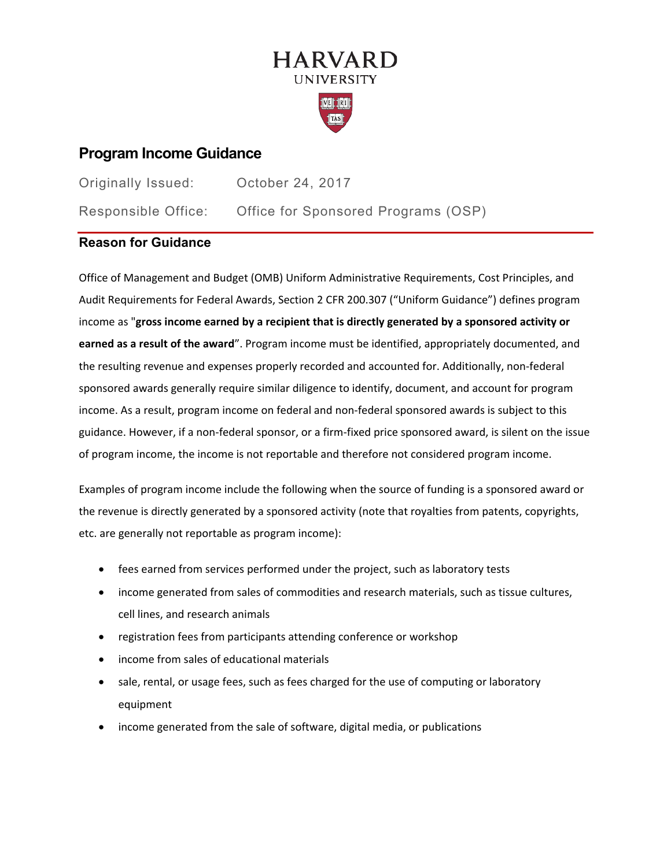# **HARVARD UNIVERSITY**



## **Program Income Guidance**

| Originally Issued:  | October 24, 2017                    |
|---------------------|-------------------------------------|
| Responsible Office: | Office for Sponsored Programs (OSP) |

## **Reason for Guidance**

Office of Management and Budget (OMB) Uniform Administrative Requirements, Cost Principles, and Audit Requirements for Federal Awards, Section 2 CFR 200.307 ("Uniform Guidance") defines program income as "**gross income earned by a recipient that is directly generated by a sponsored activity or earned as a result of the award**". Program income must be identified, appropriately documented, and the resulting revenue and expenses properly recorded and accounted for. Additionally, non-federal sponsored awards generally require similar diligence to identify, document, and account for program income. As a result, program income on federal and non-federal sponsored awards is subject to this guidance. However, if a non-federal sponsor, or a firm-fixed price sponsored award, is silent on the issue of program income, the income is not reportable and therefore not considered program income.

Examples of program income include the following when the source of funding is a sponsored award or the revenue is directly generated by a sponsored activity (note that royalties from patents, copyrights, etc. are generally not reportable as program income):

- fees earned from services performed under the project, such as laboratory tests
- income generated from sales of commodities and research materials, such as tissue cultures, cell lines, and research animals
- registration fees from participants attending conference or workshop
- income from sales of educational materials
- sale, rental, or usage fees, such as fees charged for the use of computing or laboratory equipment
- income generated from the sale of software, digital media, or publications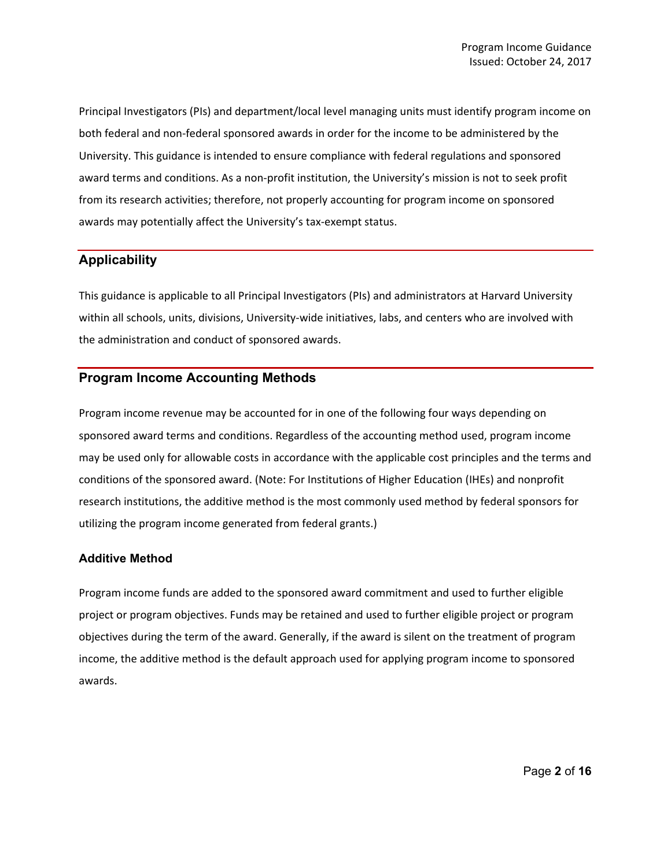Principal Investigators (PIs) and department/local level managing units must identify program income on both federal and non-federal sponsored awards in order for the income to be administered by the University. This guidance is intended to ensure compliance with federal regulations and sponsored award terms and conditions. As a non-profit institution, the University's mission is not to seek profit from its research activities; therefore, not properly accounting for program income on sponsored awards may potentially affect the University's tax-exempt status.

## **Applicability**

This guidance is applicable to all Principal Investigators (PIs) and administrators at Harvard University within all schools, units, divisions, University-wide initiatives, labs, and centers who are involved with the administration and conduct of sponsored awards.

### **Program Income Accounting Methods**

Program income revenue may be accounted for in one of the following four ways depending on sponsored award terms and conditions. Regardless of the accounting method used, program income may be used only for allowable costs in accordance with the applicable cost principles and the terms and conditions of the sponsored award. (Note: For Institutions of Higher Education (IHEs) and nonprofit research institutions, the additive method is the most commonly used method by federal sponsors for utilizing the program income generated from federal grants.)

#### **Additive Method**

Program income funds are added to the sponsored award commitment and used to further eligible project or program objectives. Funds may be retained and used to further eligible project or program objectives during the term of the award. Generally, if the award is silent on the treatment of program income, the additive method is the default approach used for applying program income to sponsored awards.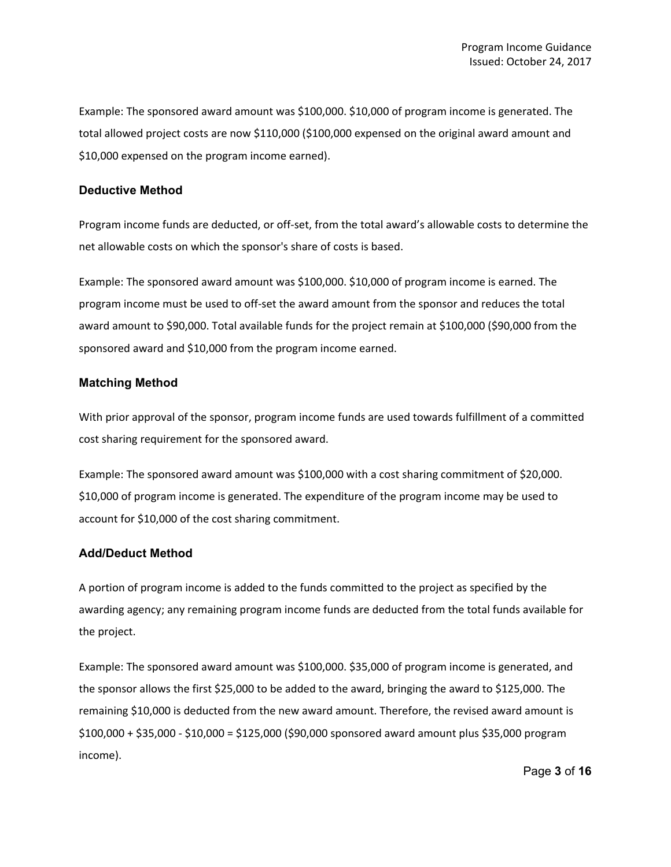Example: The sponsored award amount was \$100,000. \$10,000 of program income is generated. The total allowed project costs are now \$110,000 (\$100,000 expensed on the original award amount and \$10,000 expensed on the program income earned).

#### **Deductive Method**

Program income funds are deducted, or off-set, from the total award's allowable costs to determine the net allowable costs on which the sponsor's share of costs is based.

Example: The sponsored award amount was \$100,000. \$10,000 of program income is earned. The program income must be used to off-set the award amount from the sponsor and reduces the total award amount to \$90,000. Total available funds for the project remain at \$100,000 (\$90,000 from the sponsored award and \$10,000 from the program income earned.

#### **Matching Method**

With prior approval of the sponsor, program income funds are used towards fulfillment of a committed cost sharing requirement for the sponsored award.

Example: The sponsored award amount was \$100,000 with a cost sharing commitment of \$20,000. \$10,000 of program income is generated. The expenditure of the program income may be used to account for \$10,000 of the cost sharing commitment.

#### **Add/Deduct Method**

A portion of program income is added to the funds committed to the project as specified by the awarding agency; any remaining program income funds are deducted from the total funds available for the project.

Example: The sponsored award amount was \$100,000. \$35,000 of program income is generated, and the sponsor allows the first \$25,000 to be added to the award, bringing the award to \$125,000. The remaining \$10,000 is deducted from the new award amount. Therefore, the revised award amount is \$100,000 + \$35,000 - \$10,000 = \$125,000 (\$90,000 sponsored award amount plus \$35,000 program income).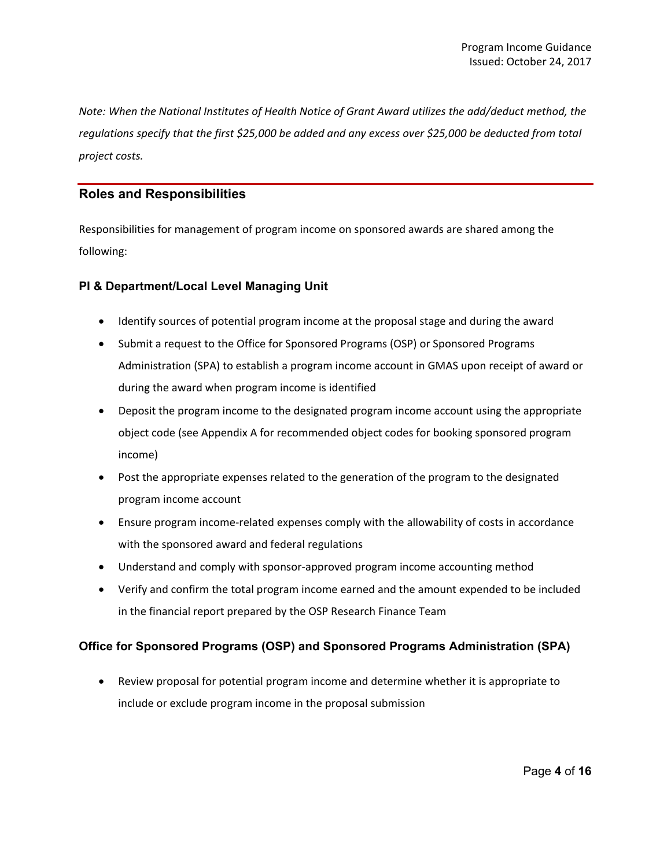*Note: When the National Institutes of Health Notice of Grant Award utilizes the add/deduct method, the regulations specify that the first \$25,000 be added and any excess over \$25,000 be deducted from total project costs.*

### **Roles and Responsibilities**

Responsibilities for management of program income on sponsored awards are shared among the following:

### **PI & Department/Local Level Managing Unit**

- Identify sources of potential program income at the proposal stage and during the award
- Submit a request to the Office for Sponsored Programs (OSP) or Sponsored Programs Administration (SPA) to establish a program income account in GMAS upon receipt of award or during the award when program income is identified
- Deposit the program income to the designated program income account using the appropriate object code (see Appendix A for recommended object codes for booking sponsored program income)
- Post the appropriate expenses related to the generation of the program to the designated program income account
- Ensure program income-related expenses comply with the allowability of costs in accordance with the sponsored award and federal regulations
- Understand and comply with sponsor-approved program income accounting method
- Verify and confirm the total program income earned and the amount expended to be included in the financial report prepared by the OSP Research Finance Team

## **Office for Sponsored Programs (OSP) and Sponsored Programs Administration (SPA)**

• Review proposal for potential program income and determine whether it is appropriate to include or exclude program income in the proposal submission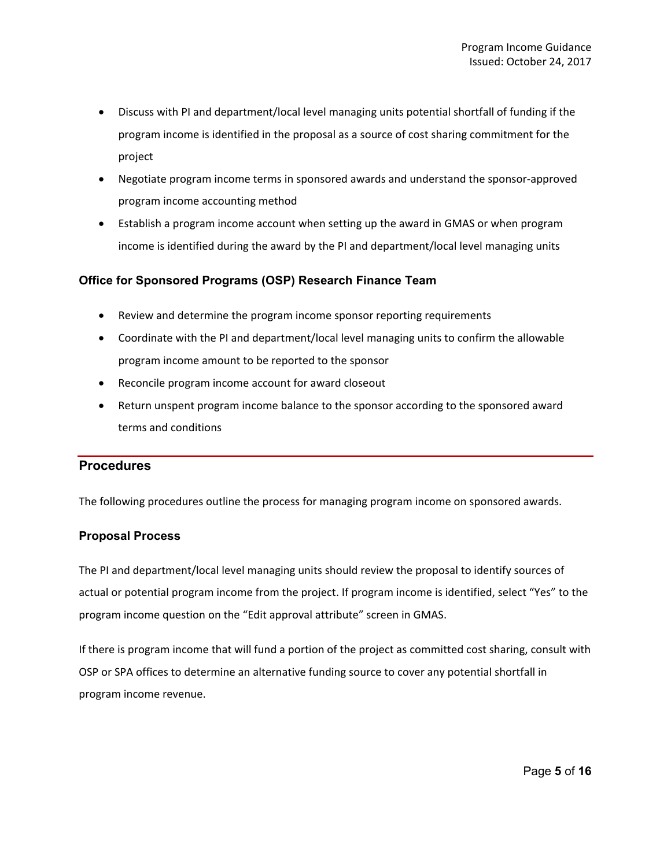- Discuss with PI and department/local level managing units potential shortfall of funding if the program income is identified in the proposal as a source of cost sharing commitment for the project
- Negotiate program income terms in sponsored awards and understand the sponsor-approved program income accounting method
- Establish a program income account when setting up the award in GMAS or when program income is identified during the award by the PI and department/local level managing units

### **Office for Sponsored Programs (OSP) Research Finance Team**

- Review and determine the program income sponsor reporting requirements
- Coordinate with the PI and department/local level managing units to confirm the allowable program income amount to be reported to the sponsor
- Reconcile program income account for award closeout
- Return unspent program income balance to the sponsor according to the sponsored award terms and conditions

## **Procedures**

The following procedures outline the process for managing program income on sponsored awards.

## **Proposal Process**

The PI and department/local level managing units should review the proposal to identify sources of actual or potential program income from the project. If program income is identified, select "Yes" to the program income question on the "Edit approval attribute" screen in GMAS.

If there is program income that will fund a portion of the project as committed cost sharing, consult with OSP or SPA offices to determine an alternative funding source to cover any potential shortfall in program income revenue.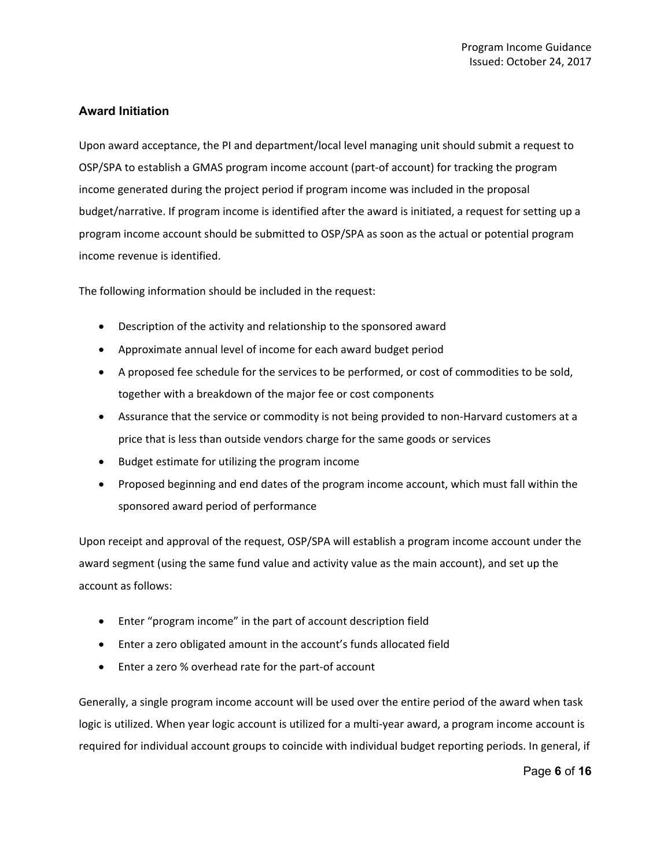## **Award Initiation**

Upon award acceptance, the PI and department/local level managing unit should submit a request to OSP/SPA to establish a GMAS program income account (part-of account) for tracking the program income generated during the project period if program income was included in the proposal budget/narrative. If program income is identified after the award is initiated, a request for setting up a program income account should be submitted to OSP/SPA as soon as the actual or potential program income revenue is identified.

The following information should be included in the request:

- Description of the activity and relationship to the sponsored award
- Approximate annual level of income for each award budget period
- A proposed fee schedule for the services to be performed, or cost of commodities to be sold, together with a breakdown of the major fee or cost components
- Assurance that the service or commodity is not being provided to non-Harvard customers at a price that is less than outside vendors charge for the same goods or services
- Budget estimate for utilizing the program income
- Proposed beginning and end dates of the program income account, which must fall within the sponsored award period of performance

Upon receipt and approval of the request, OSP/SPA will establish a program income account under the award segment (using the same fund value and activity value as the main account), and set up the account as follows:

- Enter "program income" in the part of account description field
- Enter a zero obligated amount in the account's funds allocated field
- Enter a zero % overhead rate for the part-of account

Generally, a single program income account will be used over the entire period of the award when task logic is utilized. When year logic account is utilized for a multi-year award, a program income account is required for individual account groups to coincide with individual budget reporting periods. In general, if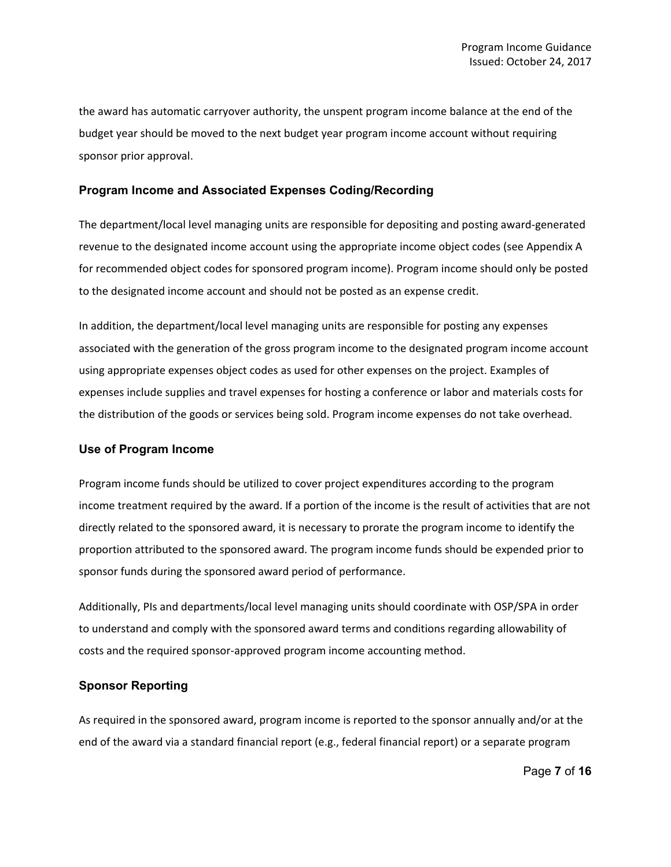the award has automatic carryover authority, the unspent program income balance at the end of the budget year should be moved to the next budget year program income account without requiring sponsor prior approval.

#### **Program Income and Associated Expenses Coding/Recording**

The department/local level managing units are responsible for depositing and posting award-generated revenue to the designated income account using the appropriate income object codes (see Appendix A for recommended object codes for sponsored program income). Program income should only be posted to the designated income account and should not be posted as an expense credit.

In addition, the department/local level managing units are responsible for posting any expenses associated with the generation of the gross program income to the designated program income account using appropriate expenses object codes as used for other expenses on the project. Examples of expenses include supplies and travel expenses for hosting a conference or labor and materials costs for the distribution of the goods or services being sold. Program income expenses do not take overhead.

#### **Use of Program Income**

Program income funds should be utilized to cover project expenditures according to the program income treatment required by the award. If a portion of the income is the result of activities that are not directly related to the sponsored award, it is necessary to prorate the program income to identify the proportion attributed to the sponsored award. The program income funds should be expended prior to sponsor funds during the sponsored award period of performance.

Additionally, PIs and departments/local level managing units should coordinate with OSP/SPA in order to understand and comply with the sponsored award terms and conditions regarding allowability of costs and the required sponsor-approved program income accounting method.

#### **Sponsor Reporting**

As required in the sponsored award, program income is reported to the sponsor annually and/or at the end of the award via a standard financial report (e.g., federal financial report) or a separate program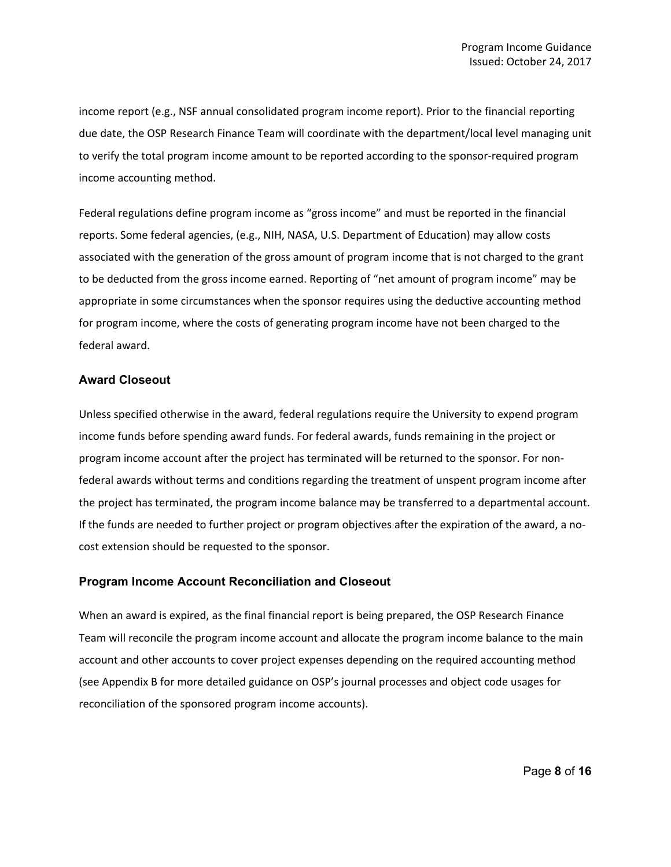income report (e.g., NSF annual consolidated program income report). Prior to the financial reporting due date, the OSP Research Finance Team will coordinate with the department/local level managing unit to verify the total program income amount to be reported according to the sponsor-required program income accounting method.

Federal regulations define program income as "gross income" and must be reported in the financial reports. Some federal agencies, (e.g., NIH, NASA, U.S. Department of Education) may allow costs associated with the generation of the gross amount of program income that is not charged to the grant to be deducted from the gross income earned. Reporting of "net amount of program income" may be appropriate in some circumstances when the sponsor requires using the deductive accounting method for program income, where the costs of generating program income have not been charged to the federal award.

#### **Award Closeout**

Unless specified otherwise in the award, federal regulations require the University to expend program income funds before spending award funds. For federal awards, funds remaining in the project or program income account after the project has terminated will be returned to the sponsor. For nonfederal awards without terms and conditions regarding the treatment of unspent program income after the project has terminated, the program income balance may be transferred to a departmental account. If the funds are needed to further project or program objectives after the expiration of the award, a nocost extension should be requested to the sponsor.

#### **Program Income Account Reconciliation and Closeout**

When an award is expired, as the final financial report is being prepared, the OSP Research Finance Team will reconcile the program income account and allocate the program income balance to the main account and other accounts to cover project expenses depending on the required accounting method (see Appendix B for more detailed guidance on OSP's journal processes and object code usages for reconciliation of the sponsored program income accounts).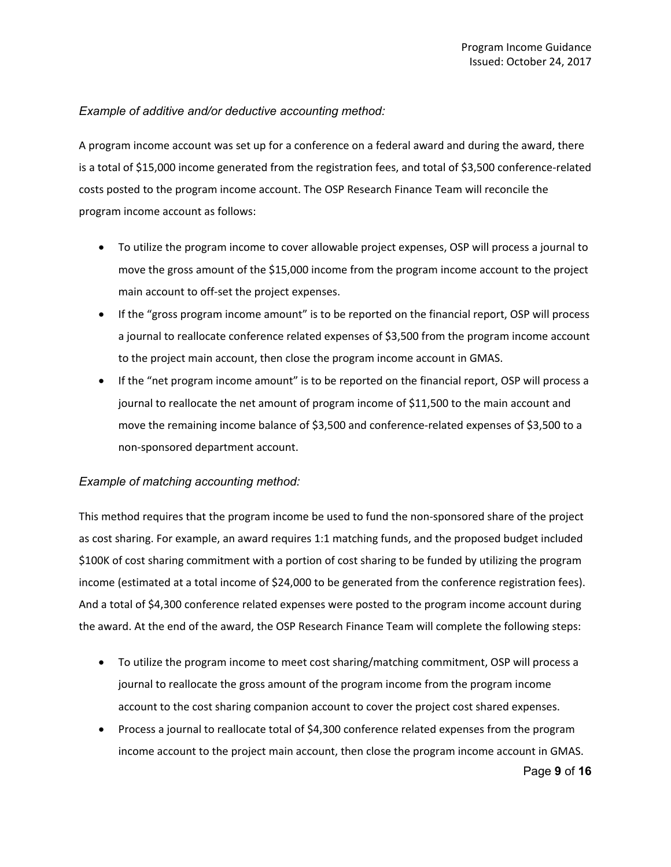## *Example of additive and/or deductive accounting method:*

A program income account was set up for a conference on a federal award and during the award, there is a total of \$15,000 income generated from the registration fees, and total of \$3,500 conference-related costs posted to the program income account. The OSP Research Finance Team will reconcile the program income account as follows:

- To utilize the program income to cover allowable project expenses, OSP will process a journal to move the gross amount of the \$15,000 income from the program income account to the project main account to off-set the project expenses.
- If the "gross program income amount" is to be reported on the financial report, OSP will process a journal to reallocate conference related expenses of \$3,500 from the program income account to the project main account, then close the program income account in GMAS.
- If the "net program income amount" is to be reported on the financial report, OSP will process a journal to reallocate the net amount of program income of \$11,500 to the main account and move the remaining income balance of \$3,500 and conference-related expenses of \$3,500 to a non-sponsored department account.

## *Example of matching accounting method:*

This method requires that the program income be used to fund the non-sponsored share of the project as cost sharing. For example, an award requires 1:1 matching funds, and the proposed budget included \$100K of cost sharing commitment with a portion of cost sharing to be funded by utilizing the program income (estimated at a total income of \$24,000 to be generated from the conference registration fees). And a total of \$4,300 conference related expenses were posted to the program income account during the award. At the end of the award, the OSP Research Finance Team will complete the following steps:

- To utilize the program income to meet cost sharing/matching commitment, OSP will process a journal to reallocate the gross amount of the program income from the program income account to the cost sharing companion account to cover the project cost shared expenses.
- Page **9** of **16** • Process a journal to reallocate total of \$4,300 conference related expenses from the program income account to the project main account, then close the program income account in GMAS.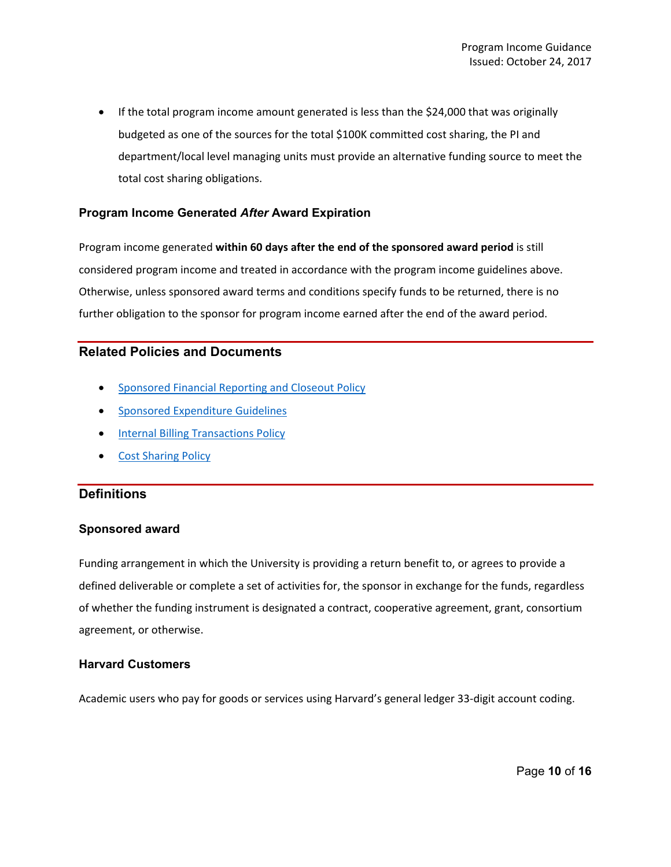• If the total program income amount generated is less than the \$24,000 that was originally budgeted as one of the sources for the total \$100K committed cost sharing, the PI and department/local level managing units must provide an alternative funding source to meet the total cost sharing obligations.

#### **Program Income Generated** *After* **Award Expiration**

Program income generated **within 60 days after the end of the sponsored award period** is still considered program income and treated in accordance with the program income guidelines above. Otherwise, unless sponsored award terms and conditions specify funds to be returned, there is no further obligation to the sponsor for program income earned after the end of the award period.

## **Related Policies and Documents**

- [Sponsored Financial Reporting and Closeout Policy](https://osp.finance.harvard.edu/sponsored-financial-reporting-and-closeout-policy)
- [Sponsored Expenditure Guidelines](https://osp.finance.harvard.edu/sponsored-expenditures-guidelines)
- [Internal Billing Transactions Policy](https://policies.fad.harvard.edu/pages/internal-billing-transactions)
- [Cost Sharing Policy](https://osp.finance.harvard.edu/cost-sharing-policy)

## **Definitions**

#### **Sponsored award**

Funding arrangement in which the University is providing a return benefit to, or agrees to provide a defined deliverable or complete a set of activities for, the sponsor in exchange for the funds, regardless of whether the funding instrument is designated a contract, cooperative agreement, grant, consortium agreement, or otherwise.

#### **Harvard Customers**

Academic users who pay for goods or services using Harvard's general ledger 33-digit account coding.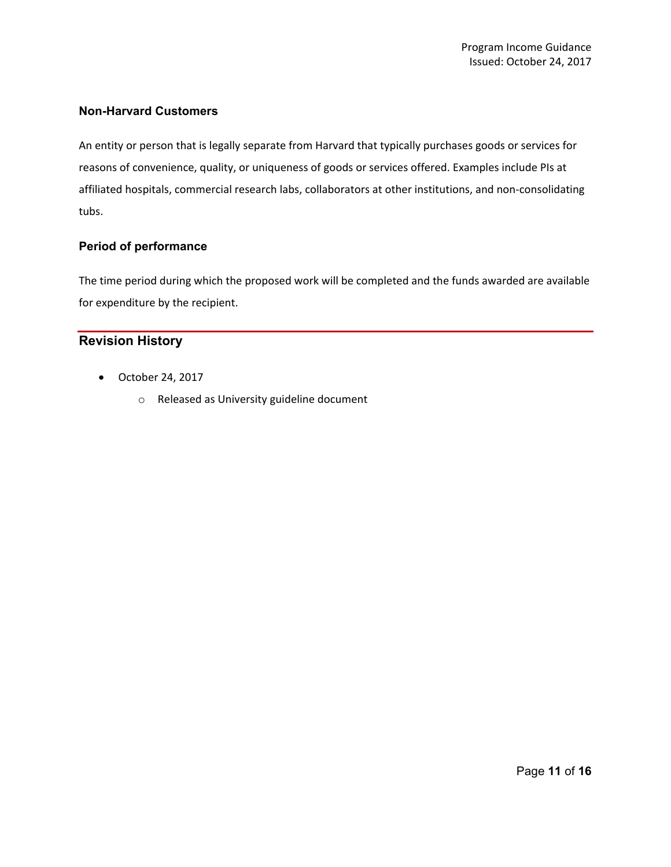## **Non-Harvard Customers**

An entity or person that is legally separate from Harvard that typically purchases goods or services for reasons of convenience, quality, or uniqueness of goods or services offered. Examples include PIs at affiliated hospitals, commercial research labs, collaborators at other institutions, and non-consolidating tubs.

### **Period of performance**

The time period during which the proposed work will be completed and the funds awarded are available for expenditure by the recipient.

## **Revision History**

- October 24, 2017
	- o Released as University guideline document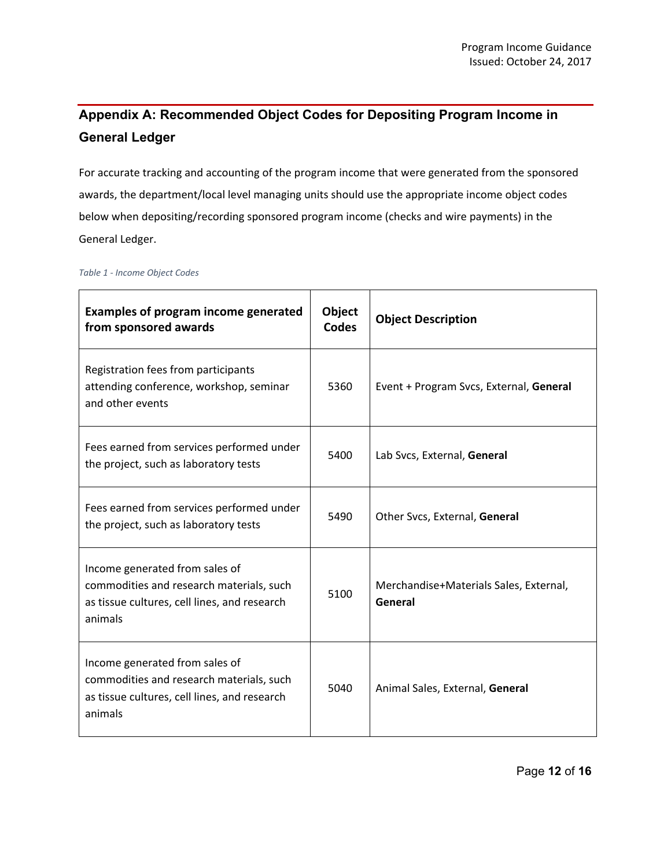# **Appendix A: Recommended Object Codes for Depositing Program Income in General Ledger**

For accurate tracking and accounting of the program income that were generated from the sponsored awards, the department/local level managing units should use the appropriate income object codes below when depositing/recording sponsored program income (checks and wire payments) in the General Ledger.

## **Examples of program income generated from sponsored awards Object Codes Object Description** Registration fees from participants attending conference, workshop, seminar and other events 5360 Event + Program Svcs, External, **General** Fees earned from services performed under the project, such as laboratory tests 5400 Lab Svcs, External, **General** Fees earned from services performed under the project, such as laboratory tests 5490 Other Svcs, External, **General** Income generated from sales of commodities and research materials, such as tissue cultures, cell lines, and research animals <sup>5100</sup> Merchandise+Materials Sales, External, **General** Income generated from sales of commodities and research materials, such as tissue cultures, cell lines, and research animals 5040 Animal Sales, External, **General**

#### *Table 1 - Income Object Codes*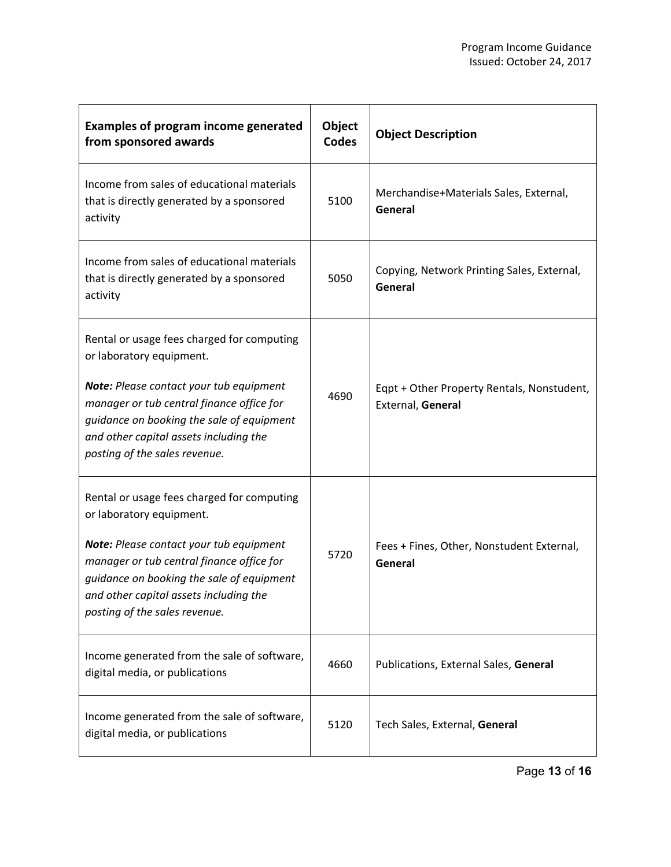| <b>Examples of program income generated</b><br>from sponsored awards                                                                                                                                                                                                                   | Object<br><b>Codes</b> | <b>Object Description</b>                                       |
|----------------------------------------------------------------------------------------------------------------------------------------------------------------------------------------------------------------------------------------------------------------------------------------|------------------------|-----------------------------------------------------------------|
| Income from sales of educational materials<br>that is directly generated by a sponsored<br>activity                                                                                                                                                                                    | 5100                   | Merchandise+Materials Sales, External,<br>General               |
| Income from sales of educational materials<br>that is directly generated by a sponsored<br>activity                                                                                                                                                                                    | 5050                   | Copying, Network Printing Sales, External,<br>General           |
| Rental or usage fees charged for computing<br>or laboratory equipment.<br>Note: Please contact your tub equipment<br>manager or tub central finance office for<br>guidance on booking the sale of equipment<br>and other capital assets including the<br>posting of the sales revenue. | 4690                   | Eqpt + Other Property Rentals, Nonstudent,<br>External, General |
| Rental or usage fees charged for computing<br>or laboratory equipment.<br>Note: Please contact your tub equipment<br>manager or tub central finance office for<br>guidance on booking the sale of equipment<br>and other capital assets including the<br>posting of the sales revenue. | 5720                   | Fees + Fines, Other, Nonstudent External,<br>General            |
| Income generated from the sale of software,<br>digital media, or publications                                                                                                                                                                                                          | 4660                   | Publications, External Sales, General                           |
| Income generated from the sale of software,<br>digital media, or publications                                                                                                                                                                                                          | 5120                   | Tech Sales, External, General                                   |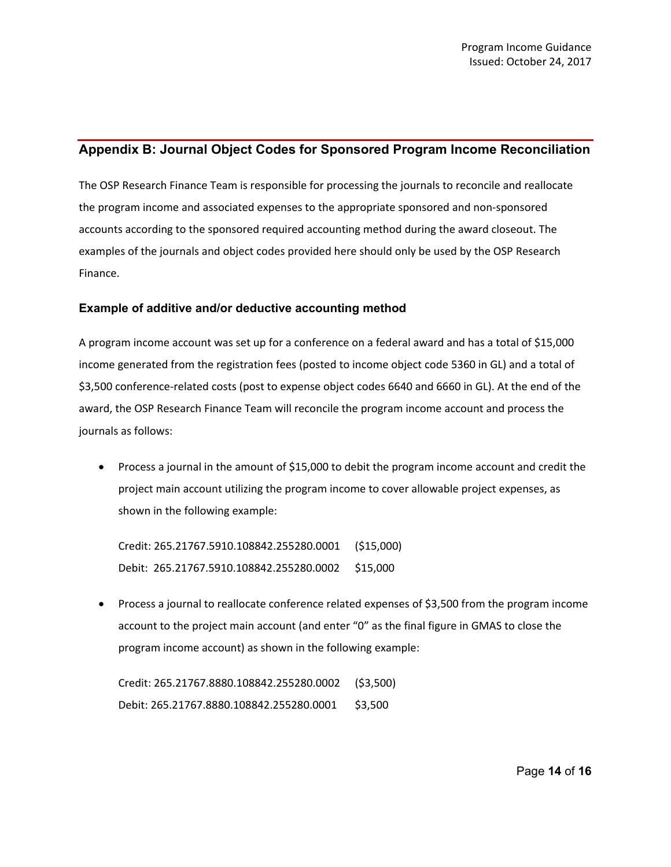## **Appendix B: Journal Object Codes for Sponsored Program Income Reconciliation**

The OSP Research Finance Team is responsible for processing the journals to reconcile and reallocate the program income and associated expenses to the appropriate sponsored and non-sponsored accounts according to the sponsored required accounting method during the award closeout. The examples of the journals and object codes provided here should only be used by the OSP Research Finance.

### **Example of additive and/or deductive accounting method**

A program income account was set up for a conference on a federal award and has a total of \$15,000 income generated from the registration fees (posted to income object code 5360 in GL) and a total of \$3,500 conference-related costs (post to expense object codes 6640 and 6660 in GL). At the end of the award, the OSP Research Finance Team will reconcile the program income account and process the journals as follows:

• Process a journal in the amount of \$15,000 to debit the program income account and credit the project main account utilizing the program income to cover allowable project expenses, as shown in the following example:

Credit: 265.21767.5910.108842.255280.0001 (\$15,000) Debit: 265.21767.5910.108842.255280.0002 \$15,000

• Process a journal to reallocate conference related expenses of \$3,500 from the program income account to the project main account (and enter "0" as the final figure in GMAS to close the program income account) as shown in the following example:

Credit: 265.21767.8880.108842.255280.0002 (\$3,500) Debit: 265.21767.8880.108842.255280.0001 \$3,500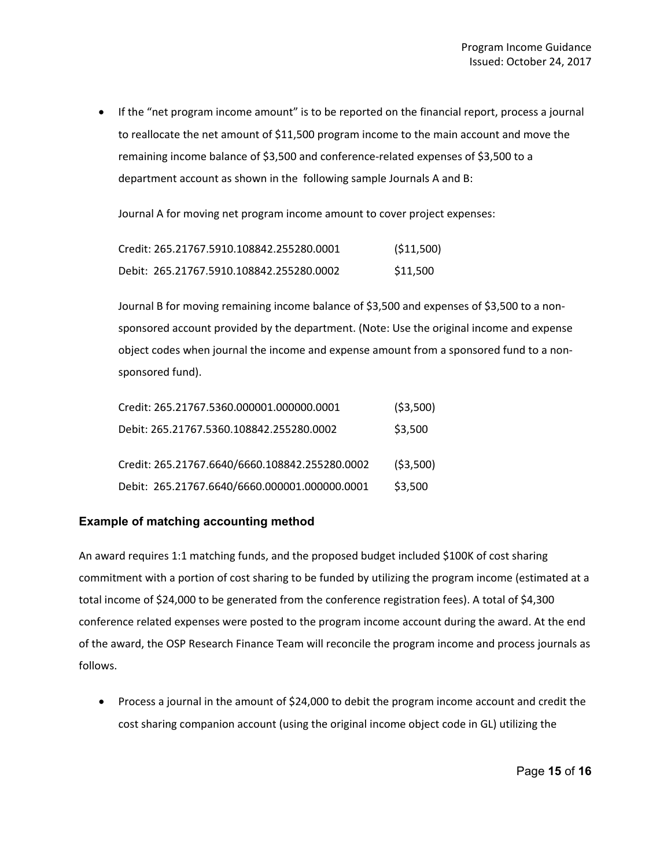• If the "net program income amount" is to be reported on the financial report, process a journal to reallocate the net amount of \$11,500 program income to the main account and move the remaining income balance of \$3,500 and conference-related expenses of \$3,500 to a department account as shown in the following sample Journals A and B:

Journal A for moving net program income amount to cover project expenses:

| Credit: 265.21767.5910.108842.255280.0001 | ( \$11,500) |
|-------------------------------------------|-------------|
| Debit: 265.21767.5910.108842.255280.0002  | \$11.500    |

Journal B for moving remaining income balance of \$3,500 and expenses of \$3,500 to a nonsponsored account provided by the department. (Note: Use the original income and expense object codes when journal the income and expense amount from a sponsored fund to a nonsponsored fund).

| Credit: 265.21767.5360.000001.000000.0001      | (53,500) |
|------------------------------------------------|----------|
| Debit: 265.21767.5360.108842.255280.0002       | \$3,500  |
| Credit: 265.21767.6640/6660.108842.255280.0002 | (53,500) |
| Debit: 265.21767.6640/6660.000001.000000.0001  | \$3,500  |

#### **Example of matching accounting method**

An award requires 1:1 matching funds, and the proposed budget included \$100K of cost sharing commitment with a portion of cost sharing to be funded by utilizing the program income (estimated at a total income of \$24,000 to be generated from the conference registration fees). A total of \$4,300 conference related expenses were posted to the program income account during the award. At the end of the award, the OSP Research Finance Team will reconcile the program income and process journals as follows.

• Process a journal in the amount of \$24,000 to debit the program income account and credit the cost sharing companion account (using the original income object code in GL) utilizing the